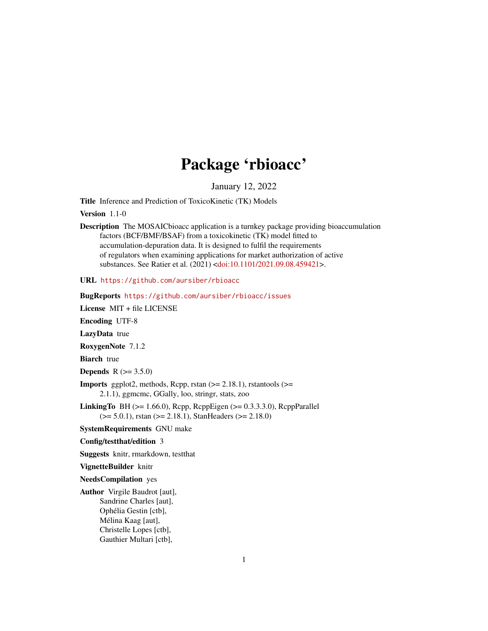# Package 'rbioacc'

January 12, 2022

Title Inference and Prediction of ToxicoKinetic (TK) Models

Version 1.1-0

Description The MOSAICbioacc application is a turnkey package providing bioaccumulation factors (BCF/BMF/BSAF) from a toxicokinetic (TK) model fitted to accumulation-depuration data. It is designed to fulfil the requirements of regulators when examining applications for market authorization of active substances. See Ratier et al. (2021) [<doi:10.1101/2021.09.08.459421>](https://doi.org/10.1101/2021.09.08.459421).

URL <https://github.com/aursiber/rbioacc>

BugReports <https://github.com/aursiber/rbioacc/issues> License MIT + file LICENSE Encoding UTF-8 LazyData true RoxygenNote 7.1.2 **Biarch** true **Depends**  $R$  ( $> = 3.5.0$ ) **Imports** ggplot2, methods, Rcpp, rstan  $(>= 2.18.1)$ , rstantools  $(>=$ 2.1.1), ggmcmc, GGally, loo, stringr, stats, zoo LinkingTo BH ( $>= 1.66.0$ ), Rcpp, RcppEigen ( $>= 0.3.3.3.0$ ), RcppParallel  $(>= 5.0.1)$ , rstan  $(>= 2.18.1)$ , StanHeaders  $(>= 2.18.0)$ SystemRequirements GNU make

Config/testthat/edition 3

Suggests knitr, rmarkdown, testthat

VignetteBuilder knitr

NeedsCompilation yes

Author Virgile Baudrot [aut], Sandrine Charles [aut], Ophélia Gestin [ctb], Mélina Kaag [aut], Christelle Lopes [ctb], Gauthier Multari [ctb],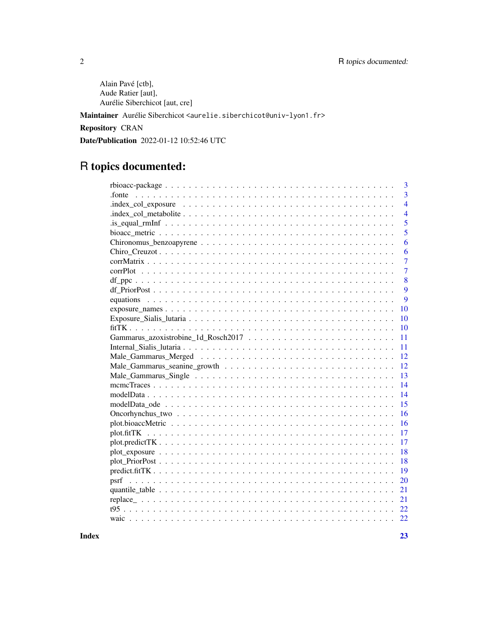Alain Pavé [ctb], Aude Ratier [aut], Aurélie Siberchicot [aut, cre]

Maintainer Aurélie Siberchicot <aurelie.siberchicot@univ-lyon1.fr>

Repository CRAN

Date/Publication 2022-01-12 10:52:46 UTC

# R topics documented:

| 3                        |
|--------------------------|
| $\overline{3}$<br>.fonte |
| $\overline{4}$           |
| $\overline{4}$           |
| $\overline{5}$           |
| 5                        |
| 6                        |
| 6                        |
| $\overline{7}$           |
| $\overline{7}$           |
| 8                        |
| 9                        |
| 9                        |
| 10                       |
| 10                       |
| 10                       |
| 11                       |
| 11                       |
| 12                       |
| 12                       |
| 13                       |
| 14                       |
|                          |
| 14                       |
| 15                       |
| 16                       |
| 16                       |
| 17<br>plot.fitTK         |
| 17                       |
| 18                       |
| 18                       |
| 19                       |
| 20                       |
| 21                       |
| 21                       |
| 22                       |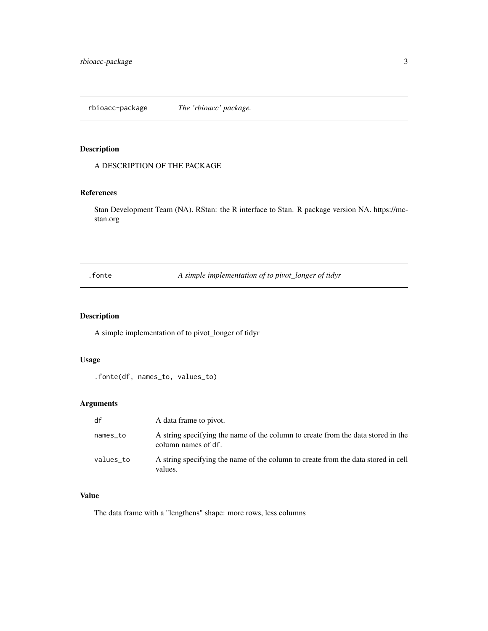<span id="page-2-0"></span>A DESCRIPTION OF THE PACKAGE

### References

Stan Development Team (NA). RStan: the R interface to Stan. R package version NA. https://mcstan.org

.fonte *A simple implementation of to pivot\_longer of tidyr*

### Description

A simple implementation of to pivot\_longer of tidyr

### Usage

.fonte(df, names\_to, values\_to)

### Arguments

| df        | A data frame to pivot.                                                                                  |
|-----------|---------------------------------------------------------------------------------------------------------|
| names_to  | A string specifying the name of the column to create from the data stored in the<br>column names of df. |
| values_to | A string specifying the name of the column to create from the data stored in cell<br>values.            |

### Value

The data frame with a "lengthens" shape: more rows, less columns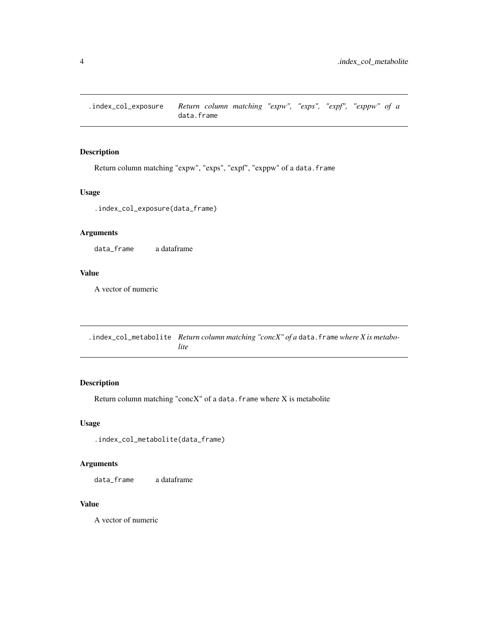<span id="page-3-0"></span>.index\_col\_exposure *Return column matching "expw", "exps", "expf", "exppw" of a* data.frame

### Description

Return column matching "expw", "exps", "expf", "exppw" of a data.frame

### Usage

.index\_col\_exposure(data\_frame)

### Arguments

data\_frame a dataframe

### Value

A vector of numeric

.index\_col\_metabolite *Return column matching "concX" of a* data.frame *where X is metabolite*

### Description

Return column matching "conc $X$ " of a data. frame where  $X$  is metabolite

### Usage

.index\_col\_metabolite(data\_frame)

### Arguments

data\_frame a dataframe

### Value

A vector of numeric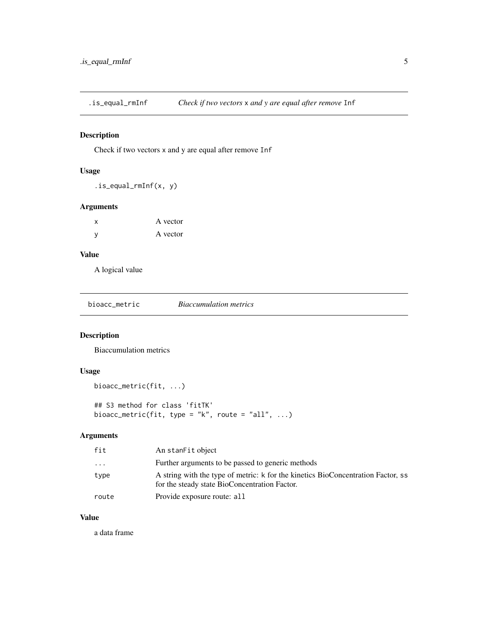<span id="page-4-0"></span>.is\_equal\_rmInf *Check if two vectors* x *and y are equal after remove* Inf

### Description

Check if two vectors x and y are equal after remove Inf

### Usage

.is\_equal\_rmInf(x, y)

### Arguments

| x | A vector |
|---|----------|
| ٧ | A vector |

### Value

A logical value

| bioacc metric | <b>Biaccumulation metrics</b> |  |
|---------------|-------------------------------|--|
|---------------|-------------------------------|--|

### Description

Biaccumulation metrics

### Usage

```
bioacc_metric(fit, ...)
```
## S3 method for class 'fitTK' bioacc\_metric(fit, type = "k", route = "all",  $\dots$ )

### Arguments

| fit   | An stanFit object                                                                                                                 |
|-------|-----------------------------------------------------------------------------------------------------------------------------------|
| .     | Further arguments to be passed to generic methods                                                                                 |
| type  | A string with the type of metric: k for the kinetics BioConcentration Factor, ss<br>for the steady state BioConcentration Factor. |
| route | Provide exposure route: all                                                                                                       |
|       |                                                                                                                                   |

### Value

a data frame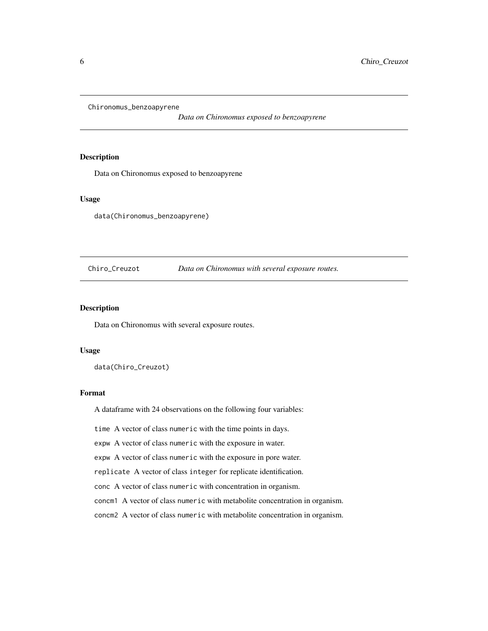<span id="page-5-0"></span>Chironomus\_benzoapyrene

*Data on Chironomus exposed to benzoapyrene*

### Description

Data on Chironomus exposed to benzoapyrene

#### Usage

data(Chironomus\_benzoapyrene)

#### Chiro\_Creuzot *Data on Chironomus with several exposure routes.*

#### Description

Data on Chironomus with several exposure routes.

#### Usage

data(Chiro\_Creuzot)

#### Format

A dataframe with 24 observations on the following four variables:

time A vector of class numeric with the time points in days.

expw A vector of class numeric with the exposure in water.

expw A vector of class numeric with the exposure in pore water.

replicate A vector of class integer for replicate identification.

conc A vector of class numeric with concentration in organism.

concm1 A vector of class numeric with metabolite concentration in organism.

concm2 A vector of class numeric with metabolite concentration in organism.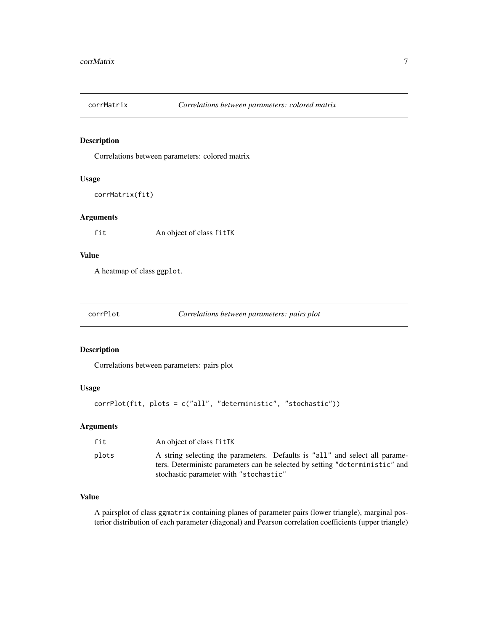<span id="page-6-0"></span>

Correlations between parameters: colored matrix

### Usage

```
corrMatrix(fit)
```
### Arguments

fit An object of class fitTK

### Value

A heatmap of class ggplot.

corrPlot *Correlations between parameters: pairs plot*

### Description

Correlations between parameters: pairs plot

### Usage

corrPlot(fit, plots = c("all", "deterministic", "stochastic"))

#### Arguments

| fit   | An object of class fitTK                                                                                                                                     |
|-------|--------------------------------------------------------------------------------------------------------------------------------------------------------------|
| plots | A string selecting the parameters. Defaults is "all" and select all parame-<br>ters. Deterministic parameters can be selected by setting "deterministic" and |
|       | stochastic parameter with "stochastic"                                                                                                                       |

### Value

A pairsplot of class ggmatrix containing planes of parameter pairs (lower triangle), marginal posterior distribution of each parameter (diagonal) and Pearson correlation coefficients (upper triangle)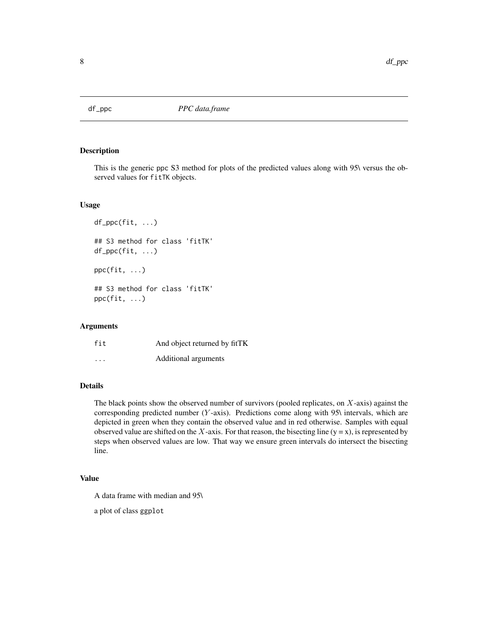<span id="page-7-0"></span>

This is the generic ppc S3 method for plots of the predicted values along with 95\ versus the observed values for fitTK objects.

#### Usage

```
df_ppc(fit, ...)
## S3 method for class 'fitTK'
df_ppc(fit, ...)
ppc(fit, ...)
## S3 method for class 'fitTK'
ppc(fit, ...)
```
#### Arguments

| fit                     | And object returned by fitTK |
|-------------------------|------------------------------|
| $\cdot$ $\cdot$ $\cdot$ | Additional arguments         |

### Details

The black points show the observed number of survivors (pooled replicates, on X-axis) against the corresponding predicted number ( $Y$ -axis). Predictions come along with 95\ intervals, which are depicted in green when they contain the observed value and in red otherwise. Samples with equal observed value are shifted on the X-axis. For that reason, the bisecting line  $(y = x)$ , is represented by steps when observed values are low. That way we ensure green intervals do intersect the bisecting line.

### Value

A data frame with median and 95\

a plot of class ggplot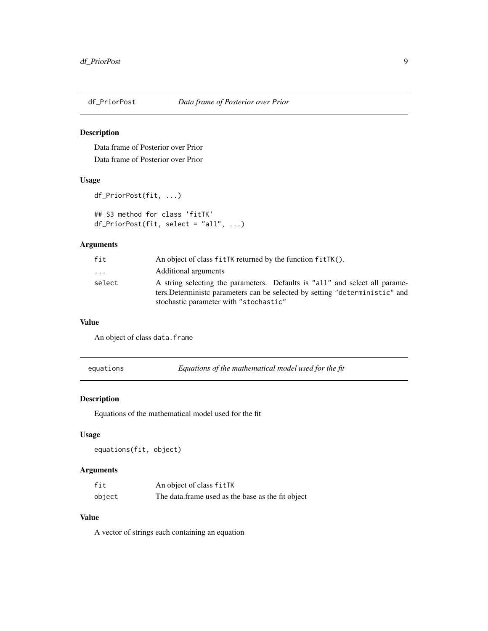<span id="page-8-0"></span>

Data frame of Posterior over Prior Data frame of Posterior over Prior

#### Usage

```
df_PriorPost(fit, ...)
## S3 method for class 'fitTK'
df_PriorPost(fit, select = "all", ...)
```
## Arguments

| fit                     | An object of class fitTK returned by the function fitTK().                    |
|-------------------------|-------------------------------------------------------------------------------|
| $\cdot$ $\cdot$ $\cdot$ | Additional arguments                                                          |
| select                  | A string selecting the parameters. Defaults is "all" and select all parame-   |
|                         | ters. Deterministic parameters can be selected by setting "deterministic" and |
|                         | stochastic parameter with "stochastic"                                        |

#### Value

An object of class data.frame

equations *Equations of the mathematical model used for the fit*

### Description

Equations of the mathematical model used for the fit

#### Usage

```
equations(fit, object)
```
### Arguments

| fit    | An object of class fitTK                          |
|--------|---------------------------------------------------|
| object | The data frame used as the base as the fit object |

### Value

A vector of strings each containing an equation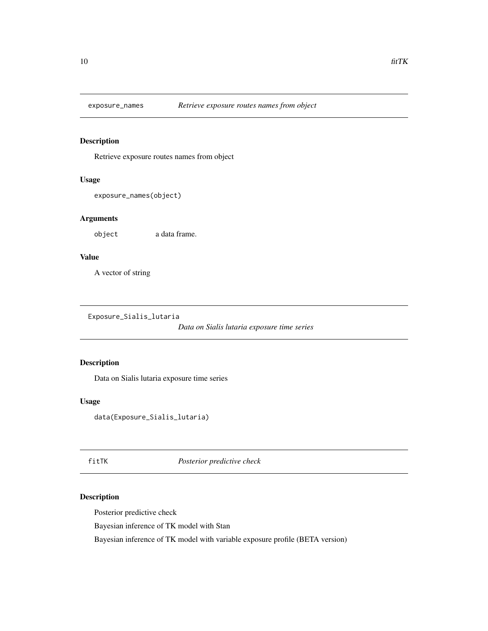<span id="page-9-0"></span>

Retrieve exposure routes names from object

### Usage

```
exposure_names(object)
```
### Arguments

object a data frame.

### Value

A vector of string

Exposure\_Sialis\_lutaria

*Data on Sialis lutaria exposure time series*

### Description

Data on Sialis lutaria exposure time series

#### Usage

data(Exposure\_Sialis\_lutaria)

fitTK *Posterior predictive check*

### Description

Posterior predictive check

Bayesian inference of TK model with Stan

Bayesian inference of TK model with variable exposure profile (BETA version)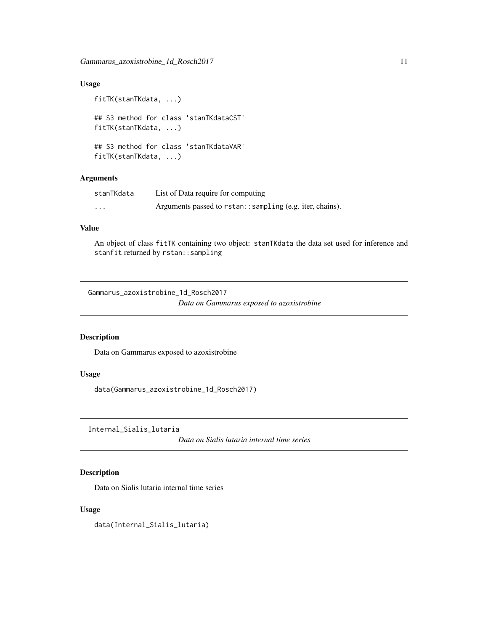### <span id="page-10-0"></span>Usage

```
fitTK(stanTKdata, ...)
## S3 method for class 'stanTKdataCST'
fitTK(stanTKdata, ...)
## S3 method for class 'stanTKdataVAR'
fitTK(stanTKdata, ...)
```
### Arguments

| stanTKdata | List of Data require for computing                         |
|------------|------------------------------------------------------------|
| $\cdots$   | Arguments passed to rstan: : sampling (e.g. iter, chains). |

### Value

An object of class fitTK containing two object: stanTKdata the data set used for inference and stanfit returned by rstan::sampling

Gammarus\_azoxistrobine\_1d\_Rosch2017

*Data on Gammarus exposed to azoxistrobine*

### Description

Data on Gammarus exposed to azoxistrobine

#### Usage

data(Gammarus\_azoxistrobine\_1d\_Rosch2017)

Internal\_Sialis\_lutaria

*Data on Sialis lutaria internal time series*

### Description

Data on Sialis lutaria internal time series

### Usage

data(Internal\_Sialis\_lutaria)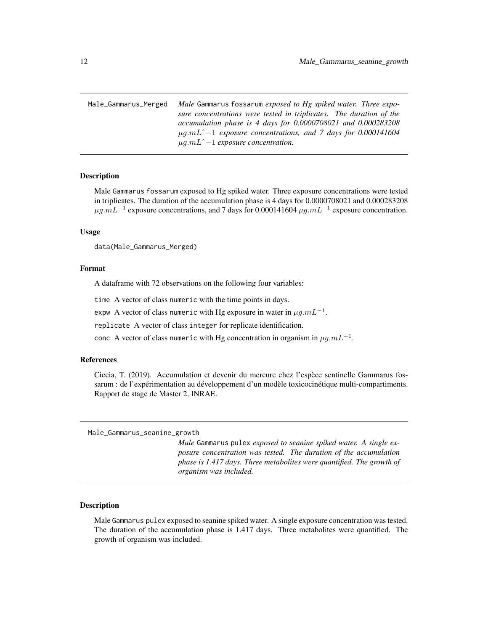<span id="page-11-0"></span>Male\_Gammarus\_Merged *Male* Gammarus fossarum *exposed to Hg spiked water. Three exposure concentrations were tested in triplicates. The duration of the accumulation phase is 4 days for 0.0000708021 and 0.000283208* µg.mLˆ−1 *exposure concentrations, and 7 days for 0.000141604* µg.mLˆ−1 *exposure concentration.*

#### **Description**

Male Gammarus fossarum exposed to Hg spiked water. Three exposure concentrations were tested in triplicates. The duration of the accumulation phase is 4 days for 0.0000708021 and 0.000283208  $\mu$ g.m $L^{-1}$  exposure concentrations, and 7 days for 0.000141604  $\mu$ g.m $L^{-1}$  exposure concentration.

#### Usage

data(Male\_Gammarus\_Merged)

### Format

A dataframe with 72 observations on the following four variables:

time A vector of class numeric with the time points in days.

expw A vector of class numeric with Hg exposure in water in  $\mu g.mL^{-1}$ .

replicate A vector of class integer for replicate identification.

conc A vector of class numeric with Hg concentration in organism in  $\mu g.mL^{-1}$ .

#### References

Ciccia, T. (2019). Accumulation et devenir du mercure chez l'espèce sentinelle Gammarus fossarum : de l'expérimentation au développement d'un modèle toxicocinétique multi-compartiments. Rapport de stage de Master 2, INRAE.

Male\_Gammarus\_seanine\_growth

*Male* Gammarus pulex *exposed to seanine spiked water. A single exposure concentration was tested. The duration of the accumulation phase is 1.417 days. Three metabolites were quantified. The growth of organism was included.*

#### Description

Male Gammarus pulex exposed to seanine spiked water. A single exposure concentration was tested. The duration of the accumulation phase is 1.417 days. Three metabolites were quantified. The growth of organism was included.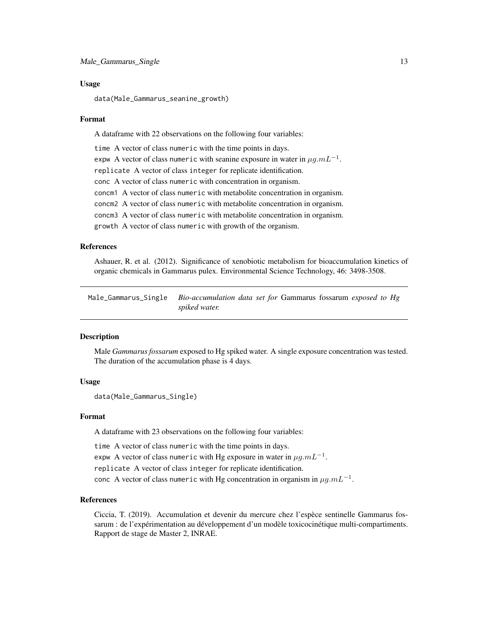#### <span id="page-12-0"></span>Usage

```
data(Male_Gammarus_seanine_growth)
```
#### Format

A dataframe with 22 observations on the following four variables:

time A vector of class numeric with the time points in days.

expw A vector of class numeric with seanine exposure in water in  $\mu g.mL^{-1}.$ 

replicate A vector of class integer for replicate identification.

conc A vector of class numeric with concentration in organism.

concm1 A vector of class numeric with metabolite concentration in organism.

concm2 A vector of class numeric with metabolite concentration in organism.

concm3 A vector of class numeric with metabolite concentration in organism.

growth A vector of class numeric with growth of the organism.

#### References

Ashauer, R. et al. (2012). Significance of xenobiotic metabolism for bioaccumulation kinetics of organic chemicals in Gammarus pulex. Environmental Science Technology, 46: 3498-3508.

Male\_Gammarus\_Single *Bio-accumulation data set for* Gammarus fossarum *exposed to Hg spiked water.*

### Description

Male *Gammarus fossarum* exposed to Hg spiked water. A single exposure concentration was tested. The duration of the accumulation phase is 4 days.

### Usage

data(Male\_Gammarus\_Single)

#### Format

A dataframe with 23 observations on the following four variables:

time A vector of class numeric with the time points in days.

expw A vector of class numeric with Hg exposure in water in  $\mu g.mL^{-1}.$ 

replicate A vector of class integer for replicate identification.

conc A vector of class numeric with Hg concentration in organism in  $\mu g.mL^{-1}$ .

#### References

Ciccia, T. (2019). Accumulation et devenir du mercure chez l'espèce sentinelle Gammarus fossarum : de l'expérimentation au développement d'un modèle toxicocinétique multi-compartiments. Rapport de stage de Master 2, INRAE.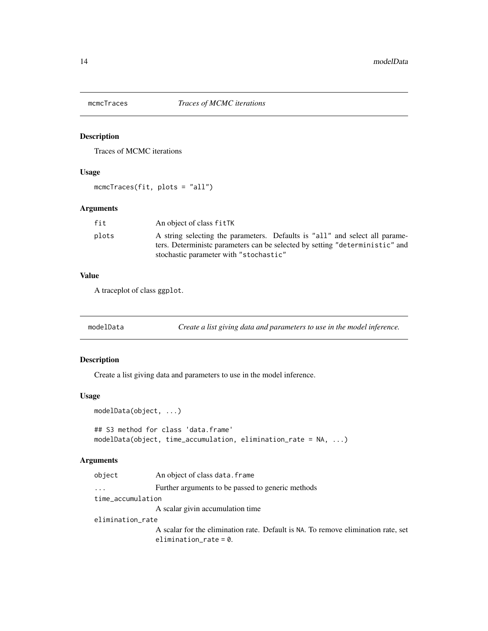<span id="page-13-0"></span>

Traces of MCMC iterations

### Usage

```
mcmcTraces(fit, plots = "all")
```
### Arguments

| fit   | An object of class fitTK                                                      |
|-------|-------------------------------------------------------------------------------|
| plots | A string selecting the parameters. Defaults is "all" and select all parame-   |
|       | ters. Deterministic parameters can be selected by setting "deterministic" and |
|       | stochastic parameter with "stochastic"                                        |

### Value

A traceplot of class ggplot.

modelData *Create a list giving data and parameters to use in the model inference.*

### Description

Create a list giving data and parameters to use in the model inference.

#### Usage

```
modelData(object, ...)
## S3 method for class 'data.frame'
modelData(object, time_accumulation, elimination_rate = NA, ...)
```

| object            | An object of class data. frame                                                    |  |
|-------------------|-----------------------------------------------------------------------------------|--|
| $\cdots$          | Further arguments to be passed to generic methods                                 |  |
| time_accumulation |                                                                                   |  |
|                   | A scalar givin accumulation time                                                  |  |
| elimination_rate  |                                                                                   |  |
|                   | A scalar for the elimination rate. Default is NA. To remove elimination rate, set |  |
|                   | elimination_rate = $0$ .                                                          |  |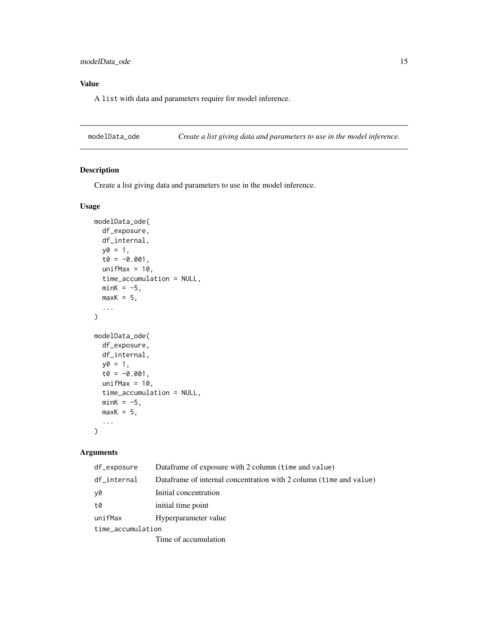### <span id="page-14-0"></span>Value

A list with data and parameters require for model inference.

modelData\_ode *Create a list giving data and parameters to use in the model inference.*

### Description

Create a list giving data and parameters to use in the model inference.

### Usage

```
modelData_ode(
  df_exposure,
  df_internal,
  y0 = 1,
  t0 = -0.001,
  unifMax = 10,
  time_accumulation = NULL,
  minK = -5,
  maxK = 5,
  ...
\mathcal{E}modelData_ode(
  df_exposure,
  df_internal,
  y0 = 1,
  t0 = -0.001,
  unifMax = 10,
  time_accumulation = NULL,
  minK = -5,
  maxK = 5,
  ...
\mathcal{L}
```

| df_exposure       | Dataframe of exposure with 2 column (time and value)               |  |
|-------------------|--------------------------------------------------------------------|--|
| df_internal       | Dataframe of internal concentration with 2 column (time and value) |  |
| y0                | Initial concentration                                              |  |
| t0                | initial time point                                                 |  |
| unifMax           | Hyperparameter value                                               |  |
| time_accumulation |                                                                    |  |
|                   | Time of accumulation                                               |  |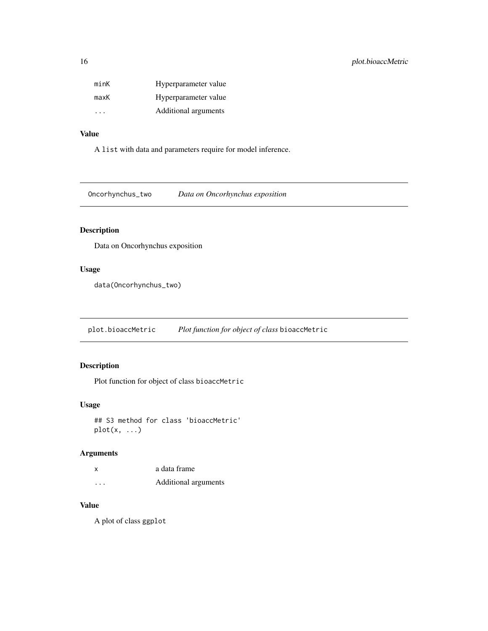<span id="page-15-0"></span>

| minK                    | Hyperparameter value |
|-------------------------|----------------------|
| maxK                    | Hyperparameter value |
| $\cdot$ $\cdot$ $\cdot$ | Additional arguments |

### Value

A list with data and parameters require for model inference.

Oncorhynchus\_two *Data on Oncorhynchus exposition*

### Description

Data on Oncorhynchus exposition

### Usage

data(Oncorhynchus\_two)

plot.bioaccMetric *Plot function for object of class* bioaccMetric

### Description

Plot function for object of class bioaccMetric

### Usage

## S3 method for class 'bioaccMetric'  $plot(x, \ldots)$ 

### Arguments

| x | a data frame         |
|---|----------------------|
| . | Additional arguments |

### Value

A plot of class ggplot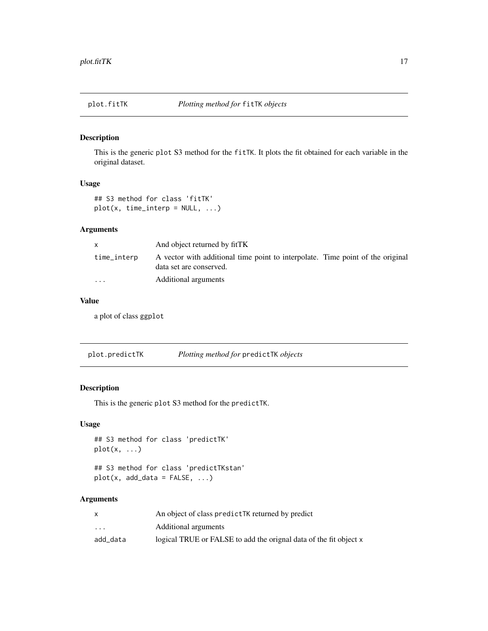<span id="page-16-0"></span>

This is the generic plot S3 method for the fitTK. It plots the fit obtained for each variable in the original dataset.

### Usage

```
## S3 method for class 'fitTK'
plot(x, time_interestp = NULL, ...)
```
### Arguments

|                         | And object returned by fitTK                                                                              |  |
|-------------------------|-----------------------------------------------------------------------------------------------------------|--|
| time_interp             | A vector with additional time point to interpolate. Time point of the original<br>data set are conserved. |  |
| $\cdot$ $\cdot$ $\cdot$ | Additional arguments                                                                                      |  |

#### Value

a plot of class ggplot

plot.predictTK *Plotting method for* predictTK *objects*

### Description

This is the generic plot S3 method for the predictTK.

### Usage

## S3 method for class 'predictTK'  $plot(x, \ldots)$ 

## S3 method for class 'predictTKstan'  $plot(x, add_data = FALSE, ...)$ 

|                         | An object of class predict TK returned by predict                 |
|-------------------------|-------------------------------------------------------------------|
| $\cdot$ $\cdot$ $\cdot$ | Additional arguments                                              |
| add data                | logical TRUE or FALSE to add the orignal data of the fit object x |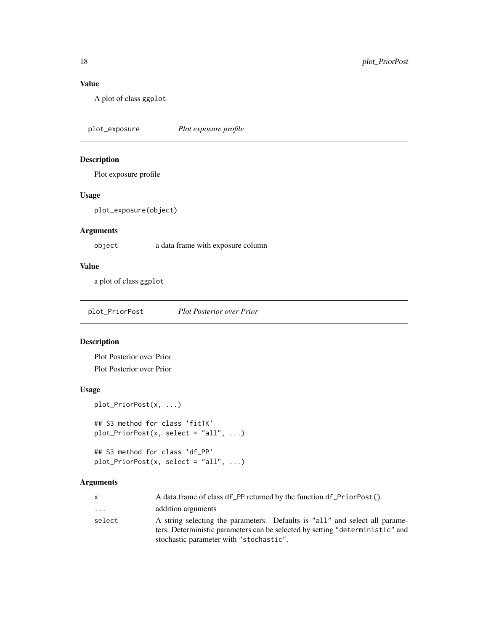### Value

A plot of class ggplot

plot\_exposure *Plot exposure profile*

### Description

Plot exposure profile

### Usage

plot\_exposure(object)

### Arguments

object a data frame with exposure column

### Value

a plot of class ggplot

plot\_PriorPost *Plot Posterior over Prior*

### Description

Plot Posterior over Prior Plot Posterior over Prior

### Usage

```
plot_PriorPost(x, ...)
## S3 method for class 'fitTK'
plot_PriorPost(x, select = "all", ...)
```

```
## S3 method for class 'df_PP'
plot_PriorPost(x, select = "all", ...)
```

| X        | A data.frame of class df PP returned by the function df PriorPost().          |  |
|----------|-------------------------------------------------------------------------------|--|
| $\cdots$ | addition arguments                                                            |  |
| select   | A string selecting the parameters. Defaults is "all" and select all parame-   |  |
|          | ters. Deterministic parameters can be selected by setting "deterministic" and |  |
|          | stochastic parameter with "stochastic".                                       |  |

<span id="page-17-0"></span>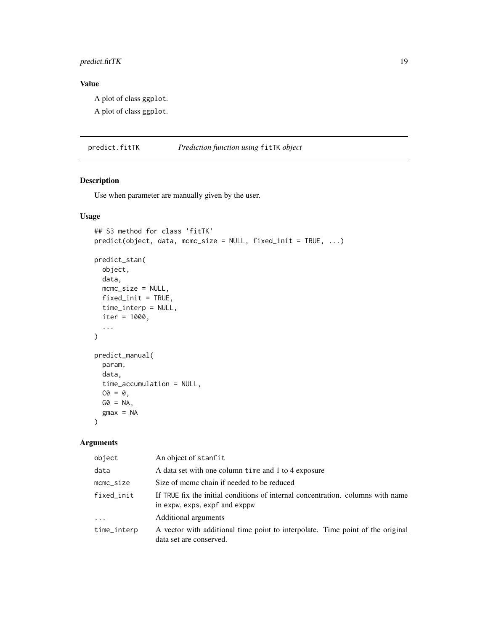### <span id="page-18-0"></span>predict.fitTK 19

### Value

A plot of class ggplot.

A plot of class ggplot.

predict.fitTK *Prediction function using* fitTK *object*

### Description

Use when parameter are manually given by the user.

### Usage

```
## S3 method for class 'fitTK'
predict(object, data, mcmc_size = NULL, fixed_init = TRUE, ...)
predict_stan(
 object,
  data,
 mcmc_size = NULL,
 fixed_init = TRUE,
  time_interp = NULL,
  iter = 1000,...
)
predict_manual(
 param,
  data,
 time_accumulation = NULL,
 CO = 0,
 GØ = NA,
  gmax = NA\mathcal{L}
```

| object                  | An object of stanfit                                                                                             |
|-------------------------|------------------------------------------------------------------------------------------------------------------|
| data                    | A data set with one column time and 1 to 4 exposure                                                              |
| $m$ c $m$ c $\leq$ size | Size of mcmc chain if needed to be reduced                                                                       |
| fixed init              | If TRUE fix the initial conditions of internal concentration, columns with name<br>in expw, exps, expf and exppw |
| $\cdots$                | Additional arguments                                                                                             |
| time_interp             | A vector with additional time point to interpolate. Time point of the original<br>data set are conserved.        |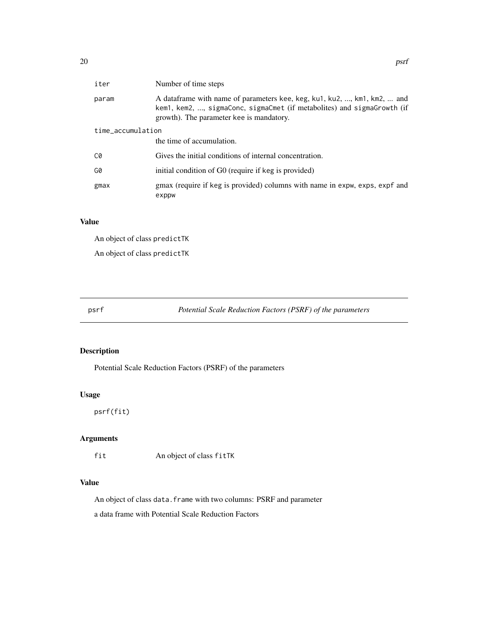<span id="page-19-0"></span>

| iter              | Number of time steps                                                                                                                                                                            |  |
|-------------------|-------------------------------------------------------------------------------------------------------------------------------------------------------------------------------------------------|--|
| param             | A dataframe with name of parameters kee, keg, ku1, ku2, , km1, km2,  and<br>kem1, kem2, , sigmaConc, sigmaCmet (if metabolites) and sigmaGrowth (if<br>growth). The parameter kee is mandatory. |  |
| time_accumulation |                                                                                                                                                                                                 |  |
|                   | the time of accumulation.                                                                                                                                                                       |  |
| C0                | Gives the initial conditions of internal concentration.                                                                                                                                         |  |
| G0                | initial condition of G0 (require if keg is provided)                                                                                                                                            |  |
| gmax              | gmax (require if keg is provided) columns with name in expw, exps, expf and<br>exppw                                                                                                            |  |

### Value

An object of class predictTK

An object of class predictTK

psrf *Potential Scale Reduction Factors (PSRF) of the parameters*

### Description

Potential Scale Reduction Factors (PSRF) of the parameters

### Usage

psrf(fit)

### Arguments

fit An object of class fitTK

### Value

An object of class data.frame with two columns: PSRF and parameter

a data frame with Potential Scale Reduction Factors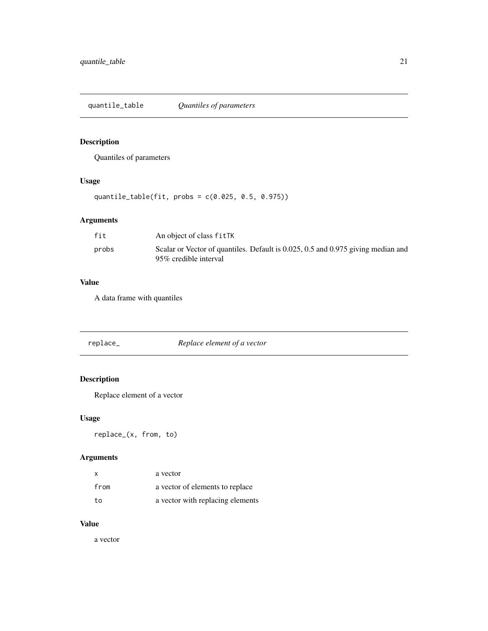<span id="page-20-0"></span>quantile\_table *Quantiles of parameters*

### Description

Quantiles of parameters

### Usage

quantile\_table(fit, probs = c(0.025, 0.5, 0.975))

### Arguments

| fit   | An object of class fitTK                                                                                  |
|-------|-----------------------------------------------------------------------------------------------------------|
| probs | Scalar or Vector of quantiles. Default is 0.025, 0.5 and 0.975 giving median and<br>95% credible interval |

### Value

A data frame with quantiles

| Replace element of a vector<br>replace_ |  |
|-----------------------------------------|--|
|-----------------------------------------|--|

### Description

Replace element of a vector

### Usage

replace\_(x, from, to)

### Arguments

| x    | a vector                         |
|------|----------------------------------|
| from | a vector of elements to replace  |
| to   | a vector with replacing elements |

#### Value

a vector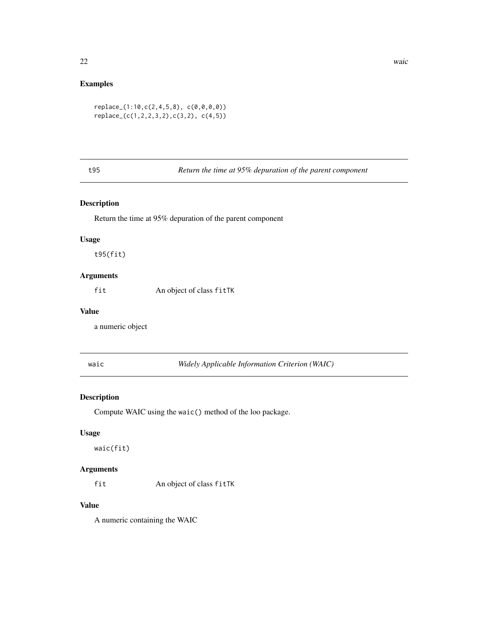### <span id="page-21-0"></span>Examples

```
replace_(1:10,c(2,4,5,8), c(0,0,0,0))
replace_(c(1,2,2,3,2),c(3,2), c(4,5))
```
### t95 *Return the time at 95% depuration of the parent component*

#### Description

Return the time at 95% depuration of the parent component

#### Usage

t95(fit)

### Arguments

fit An object of class fitTK

### Value

a numeric object

waic *Widely Applicable Information Criterion (WAIC)*

#### Description

Compute WAIC using the waic() method of the loo package.

### Usage

waic(fit)

### Arguments

fit An object of class fitTK

#### Value

A numeric containing the WAIC